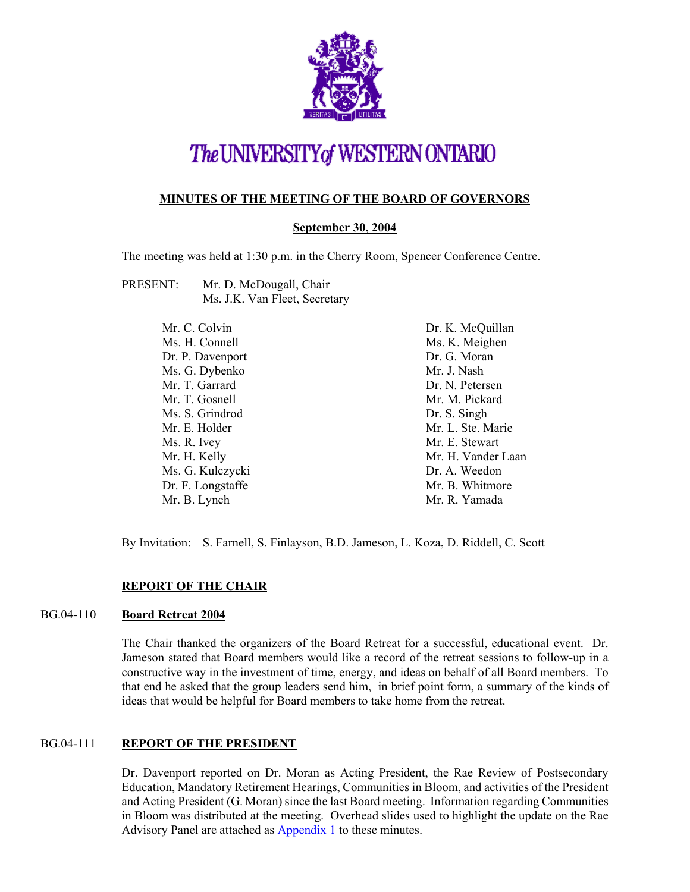

# The UNIVERSITY of WESTERN ONTARIO

### **MINUTES OF THE MEETING OF THE BOARD OF GOVERNORS**

#### **September 30, 2004**

The meeting was held at 1:30 p.m. in the Cherry Room, Spencer Conference Centre.

PRESENT: Mr. D. McDougall, Chair Ms. J.K. Van Fleet, Secretary

| Mr. C. Colvin     | Dr. K. McQuillan   |
|-------------------|--------------------|
| Ms. H. Connell    | Ms. K. Meighen     |
| Dr. P. Davenport  | Dr. G. Moran       |
| Ms. G. Dybenko    | Mr. J. Nash        |
| Mr. T. Garrard    | Dr. N. Petersen    |
| Mr. T. Gosnell    | Mr. M. Pickard     |
| Ms. S. Grindrod   | Dr. S. Singh       |
| Mr. E. Holder     | Mr. L. Ste. Marie  |
| Ms. R. Ivey       | Mr. E. Stewart     |
| Mr. H. Kelly      | Mr. H. Vander Laan |
| Ms. G. Kulczycki  | Dr. A. Weedon      |
| Dr. F. Longstaffe | Mr. B. Whitmore    |
| Mr. B. Lynch      | Mr. R. Yamada      |

By Invitation: S. Farnell, S. Finlayson, B.D. Jameson, L. Koza, D. Riddell, C. Scott

## **REPORT OF THE CHAIR**

## BG.04-110 **Board Retreat 2004**

The Chair thanked the organizers of the Board Retreat for a successful, educational event. Dr. Jameson stated that Board members would like a record of the retreat sessions to follow-up in a constructive way in the investment of time, energy, and ideas on behalf of all Board members. To that end he asked that the group leaders send him, in brief point form, a summary of the kinds of ideas that would be helpful for Board members to take home from the retreat.

## BG.04-111 **REPORT OF THE PRESIDENT**

Dr. Davenport reported on Dr. Moran as Acting President, the Rae Review of Postsecondary Education, Mandatory Retirement Hearings, Communities in Bloom, and activities of the President and Acting President (G. Moran) since the last Board meeting. Information regarding Communities in Bloom was distributed at the meeting. Overhead slides used to highlight the update on the Rae Advisory Panel are attached as [Appendix 1 to](#page-5-0) these minutes.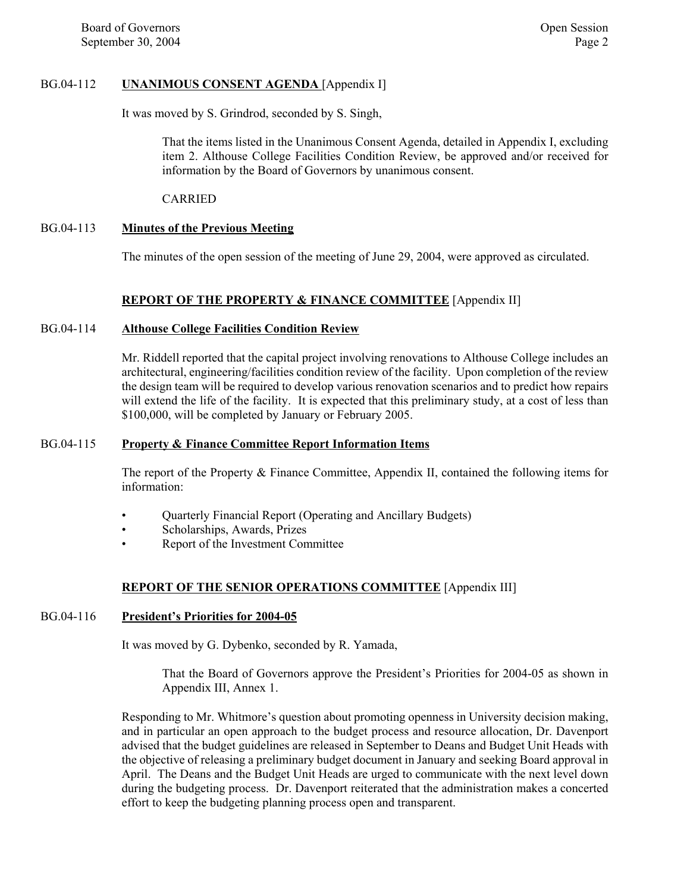#### BG.04-112 **UNANIMOUS CONSENT AGENDA** [Appendix I]

It was moved by S. Grindrod, seconded by S. Singh,

That the items listed in the Unanimous Consent Agenda, detailed in Appendix I, excluding item 2. Althouse College Facilities Condition Review, be approved and/or received for information by the Board of Governors by unanimous consent.

CARRIED

#### BG.04-113 **Minutes of the Previous Meeting**

The minutes of the open session of the meeting of June 29, 2004, were approved as circulated.

#### **REPORT OF THE PROPERTY & FINANCE COMMITTEE** [Appendix II]

#### BG.04-114 **Althouse College Facilities Condition Review**

Mr. Riddell reported that the capital project involving renovations to Althouse College includes an architectural, engineering/facilities condition review of the facility. Upon completion of the review the design team will be required to develop various renovation scenarios and to predict how repairs will extend the life of the facility. It is expected that this preliminary study, at a cost of less than \$100,000, will be completed by January or February 2005.

#### BG.04-115 **Property & Finance Committee Report Information Items**

The report of the Property & Finance Committee, Appendix II, contained the following items for information:

- Quarterly Financial Report (Operating and Ancillary Budgets)
- Scholarships, Awards, Prizes
- Report of the Investment Committee

#### **REPORT OF THE SENIOR OPERATIONS COMMITTEE** [Appendix III]

#### BG.04-116 **President's Priorities for 2004-05**

It was moved by G. Dybenko, seconded by R. Yamada,

That the Board of Governors approve the President's Priorities for 2004-05 as shown in Appendix III, Annex 1.

Responding to Mr. Whitmore's question about promoting openness in University decision making, and in particular an open approach to the budget process and resource allocation, Dr. Davenport advised that the budget guidelines are released in September to Deans and Budget Unit Heads with the objective of releasing a preliminary budget document in January and seeking Board approval in April. The Deans and the Budget Unit Heads are urged to communicate with the next level down during the budgeting process. Dr. Davenport reiterated that the administration makes a concerted effort to keep the budgeting planning process open and transparent.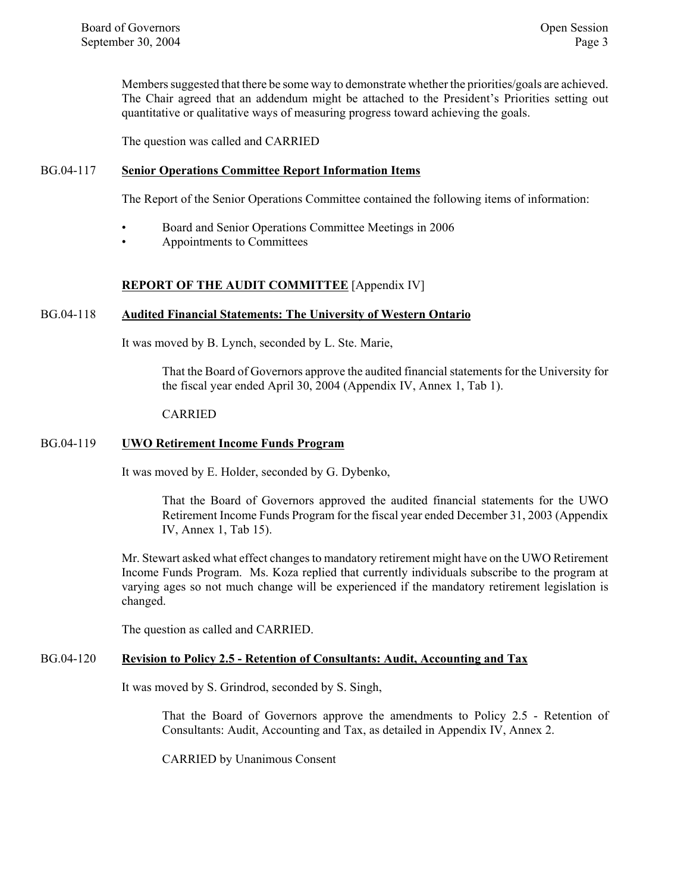Members suggested that there be some way to demonstrate whether the priorities/goals are achieved. The Chair agreed that an addendum might be attached to the President's Priorities setting out quantitative or qualitative ways of measuring progress toward achieving the goals.

The question was called and CARRIED

#### BG.04-117 **Senior Operations Committee Report Information Items**

The Report of the Senior Operations Committee contained the following items of information:

- Board and Senior Operations Committee Meetings in 2006
- Appointments to Committees

#### **REPORT OF THE AUDIT COMMITTEE** [Appendix IV]

#### BG.04-118 **Audited Financial Statements: The University of Western Ontario**

It was moved by B. Lynch, seconded by L. Ste. Marie,

That the Board of Governors approve the audited financial statements for the University for the fiscal year ended April 30, 2004 (Appendix IV, Annex 1, Tab 1).

#### CARRIED

#### BG.04-119 **UWO Retirement Income Funds Program**

It was moved by E. Holder, seconded by G. Dybenko,

That the Board of Governors approved the audited financial statements for the UWO Retirement Income Funds Program for the fiscal year ended December 31, 2003 (Appendix IV, Annex 1, Tab 15).

Mr. Stewart asked what effect changes to mandatory retirement might have on the UWO Retirement Income Funds Program. Ms. Koza replied that currently individuals subscribe to the program at varying ages so not much change will be experienced if the mandatory retirement legislation is changed.

The question as called and CARRIED.

## BG.04-120 **Revision to Policy 2.5 - Retention of Consultants: Audit, Accounting and Tax**

It was moved by S. Grindrod, seconded by S. Singh,

That the Board of Governors approve the amendments to Policy 2.5 - Retention of Consultants: Audit, Accounting and Tax, as detailed in Appendix IV, Annex 2.

CARRIED by Unanimous Consent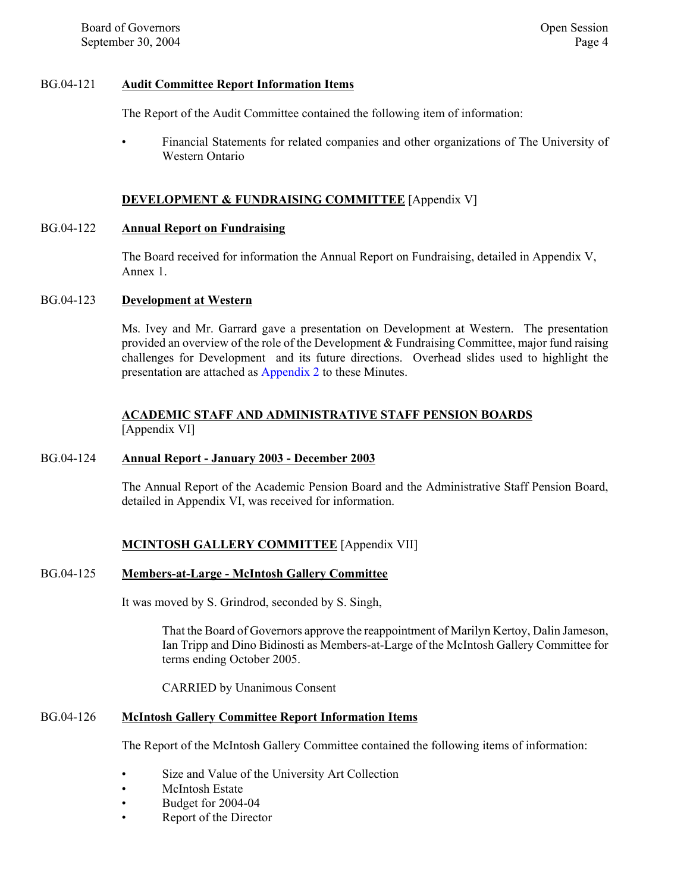#### BG.04-121 **Audit Committee Report Information Items**

The Report of the Audit Committee contained the following item of information:

• Financial Statements for related companies and other organizations of The University of Western Ontario

#### **DEVELOPMENT & FUNDRAISING COMMITTEE** [Appendix V]

#### BG.04-122 **Annual Report on Fundraising**

The Board received for information the Annual Report on Fundraising, detailed in Appendix V, Annex 1.

#### BG.04-123 **Development at Western**

Ms. Ivey and Mr. Garrard gave a presentation on Development at Western. The presentation provided an overview of the role of the Development & Fundraising Committee, major fund raising challenges for Development and its future directions. Overhead slides used to highlight the presentation are attached a[s Appendix 2 to](#page-6-0) these Minutes.

#### **ACADEMIC STAFF AND ADMINISTRATIVE STAFF PENSION BOARDS** [Appendix VI]

#### BG.04-124 **Annual Report - January 2003 - December 2003**

The Annual Report of the Academic Pension Board and the Administrative Staff Pension Board, detailed in Appendix VI, was received for information.

## **MCINTOSH GALLERY COMMITTEE** [Appendix VII]

#### BG.04-125 **Members-at-Large - McIntosh Gallery Committee**

It was moved by S. Grindrod, seconded by S. Singh,

That the Board of Governors approve the reappointment of Marilyn Kertoy, Dalin Jameson, Ian Tripp and Dino Bidinosti as Members-at-Large of the McIntosh Gallery Committee for terms ending October 2005.

CARRIED by Unanimous Consent

#### BG.04-126 **McIntosh Gallery Committee Report Information Items**

The Report of the McIntosh Gallery Committee contained the following items of information:

- Size and Value of the University Art Collection
- McIntosh Estate
- Budget for 2004-04
- Report of the Director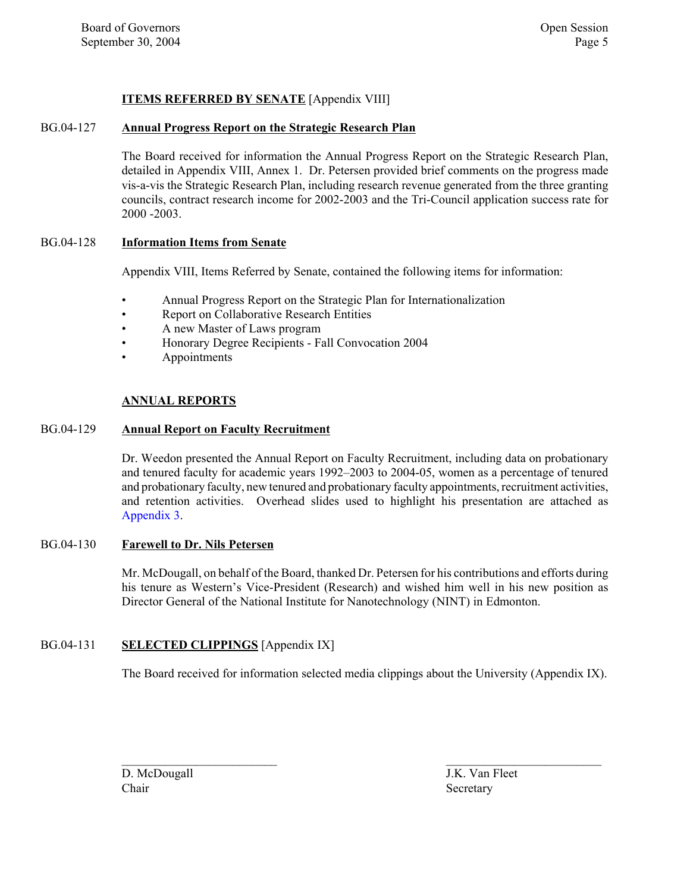## **ITEMS REFERRED BY SENATE** [Appendix VIII]

#### BG.04-127 **Annual Progress Report on the Strategic Research Plan**

The Board received for information the Annual Progress Report on the Strategic Research Plan, detailed in Appendix VIII, Annex 1. Dr. Petersen provided brief comments on the progress made vis-a-vis the Strategic Research Plan, including research revenue generated from the three granting councils, contract research income for 2002-2003 and the Tri-Council application success rate for 2000 -2003.

#### BG.04-128 **Information Items from Senate**

Appendix VIII, Items Referred by Senate, contained the following items for information:

- Annual Progress Report on the Strategic Plan for Internationalization
- Report on Collaborative Research Entities
- A new Master of Laws program
- Honorary Degree Recipients Fall Convocation 2004
- Appointments

#### **ANNUAL REPORTS**

#### BG.04-129 **Annual Report on Faculty Recruitment**

Dr. Weedon presented the Annual Report on Faculty Recruitment, including data on probationary and tenured faculty for academic years 1992–2003 to 2004-05, women as a percentage of tenured and probationary faculty, new tenured and probationary faculty appointments, recruitment activities, and retention activities. Overhead slides used to highlight his presentation are attached as [Appendix 3.](#page-10-0)

#### BG.04-130 **Farewell to Dr. Nils Petersen**

Mr. McDougall, on behalf of the Board, thanked Dr. Petersen for his contributions and efforts during his tenure as Western's Vice-President (Research) and wished him well in his new position as Director General of the National Institute for Nanotechnology (NINT) in Edmonton.

#### BG.04-131 **SELECTED CLIPPINGS** [Appendix IX]

The Board received for information selected media clippings about the University (Appendix IX).

 $\mathcal{L}_\text{max}$  and the contract of the contract of the contract of the contract of the contract of the contract of the contract of the contract of the contract of the contract of the contract of the contract of the contrac

D. McDougall J.K. Van Fleet Chair Secretary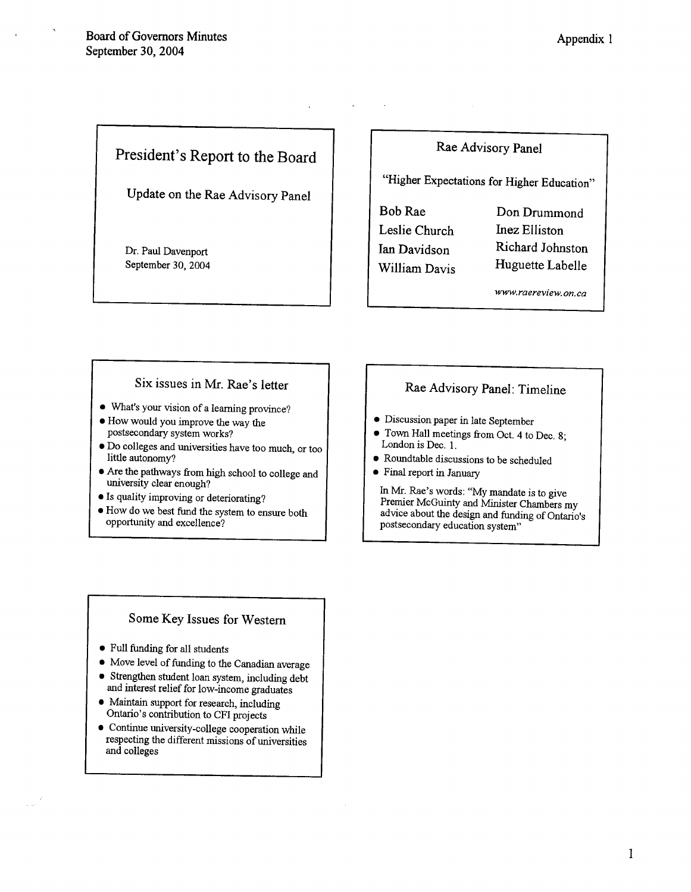## President's Report to the Board

Update on the Rae Advisory Panel

Dr. Paul Davenport September 30, 2004

## Rae Advisory Panel

"Higher Expectations for Higher Education"

**Bob Rae** Leslie Church Ian Davidson **William Davis** 

Don Drummond **Inez Elliston** Richard Johnston Huguette Labelle

www.raereview.on.ca

#### Six issues in Mr. Rae's letter

- What's your vision of a learning province?
- How would you improve the way the postsecondary system works?
- · Do colleges and universities have too much, or too little autonomy?
- Are the pathways from high school to college and university clear enough?
- Is quality improving or deteriorating?
- . How do we best fund the system to ensure both opportunity and excellence?

## Rae Advisory Panel: Timeline

- · Discussion paper in late September
- Town Hall meetings from Oct. 4 to Dec. 8; London is Dec. 1.
- Roundtable discussions to be scheduled
- Final report in January

In Mr. Rae's words: "My mandate is to give Premier McGuinty and Minister Chambers my advice about the design and funding of Ontario's postsecondary education system"

## Some Key Issues for Western

- Full funding for all students
- Move level of funding to the Canadian average
- Strengthen student loan system, including debt and interest relief for low-income graduates
- Maintain support for research, including Ontario's contribution to CFI projects
- Continue university-college cooperation while respecting the different missions of universities and colleges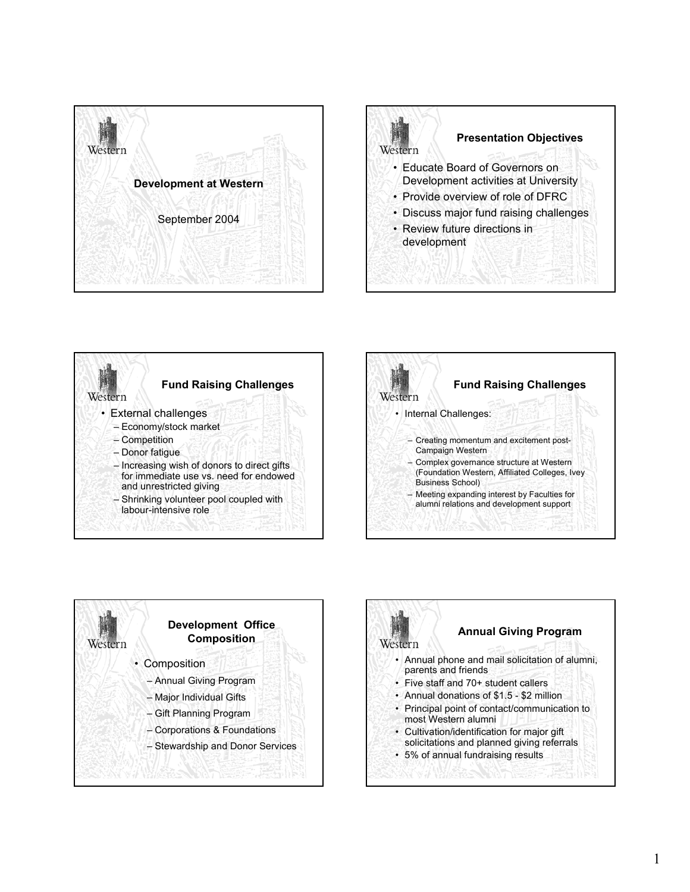<span id="page-6-0"></span>









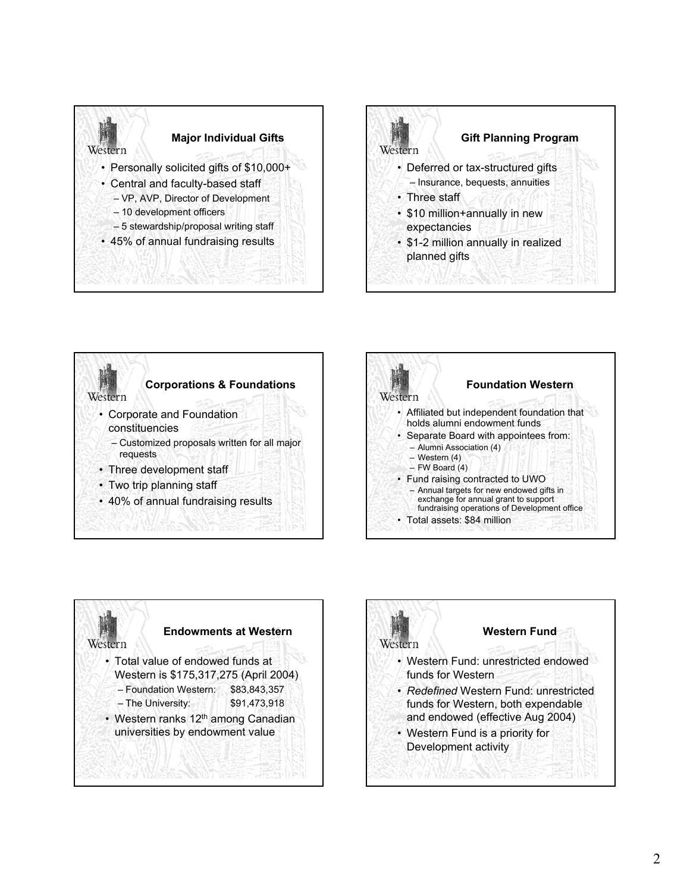









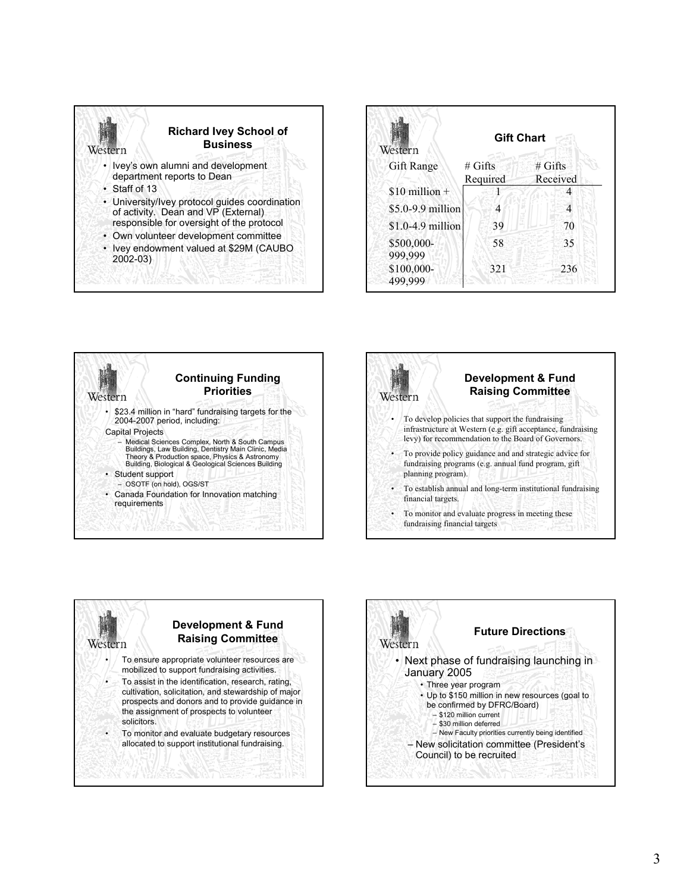

**Continuing Funding Priorities**

• \$23.4 million in "hard" fundraising targets for the

– Medical Sciences Complex, North & South Campus Buildings, Law Building, Dentistry Main Clinic, Media Theory & Production space, Physics & Astronomy Building, Biological & Geological Sciences Building

• Canada Foundation for Innovation matching

2004-2007 period, including:

– OSOTF (on hold), OGS/ST

Capital Projects

Weste

• Student support

requirements



# Gifts Received



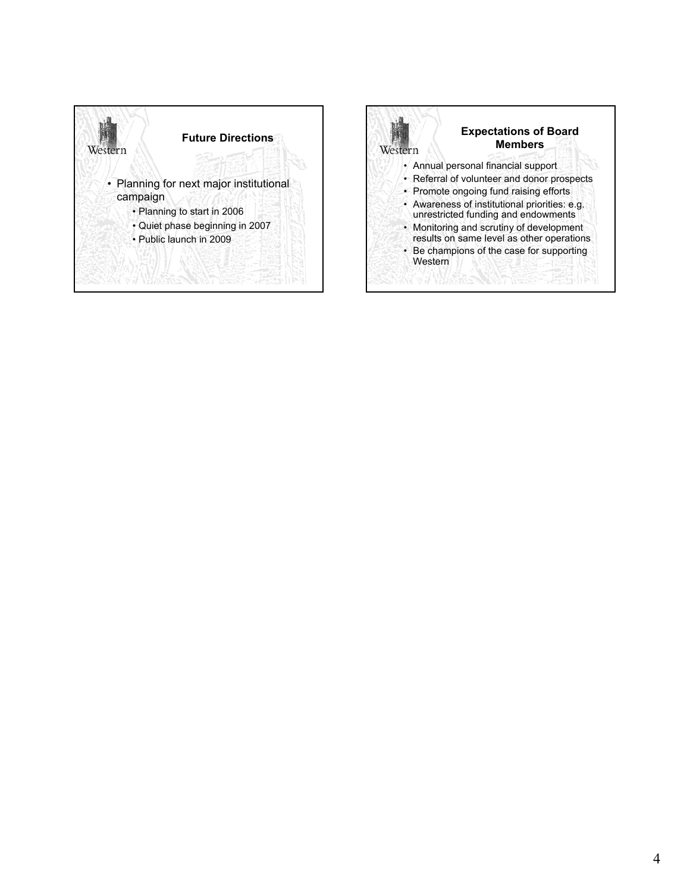

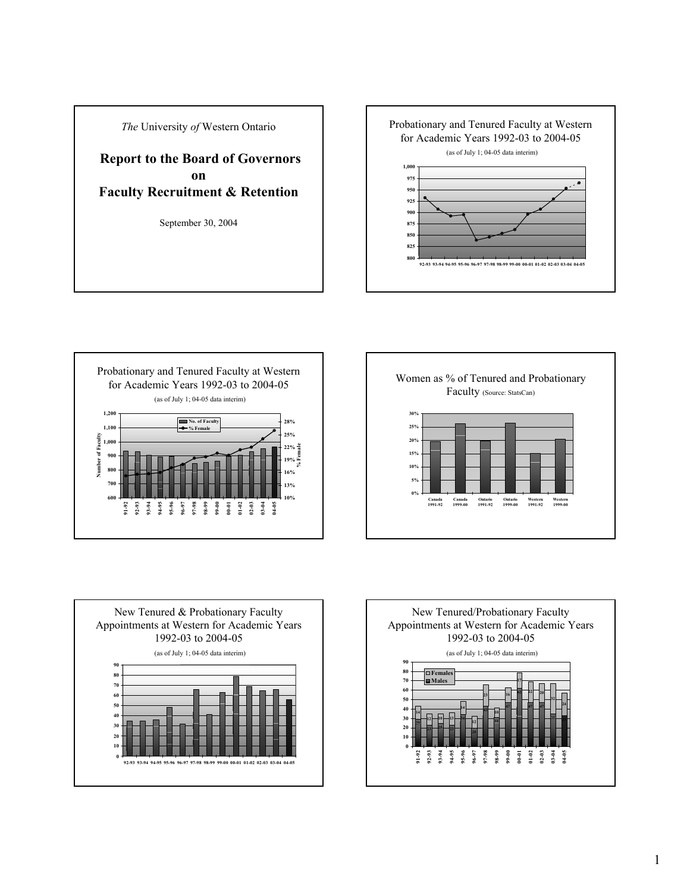<span id="page-10-0"></span>*The* University *of* Western Ontario

**Report to the Board of Governors on Faculty Recruitment & Retention**

September 30, 2004

Probationary and Tenured Faculty at Western for Academic Years 1992-03 to 2004-05









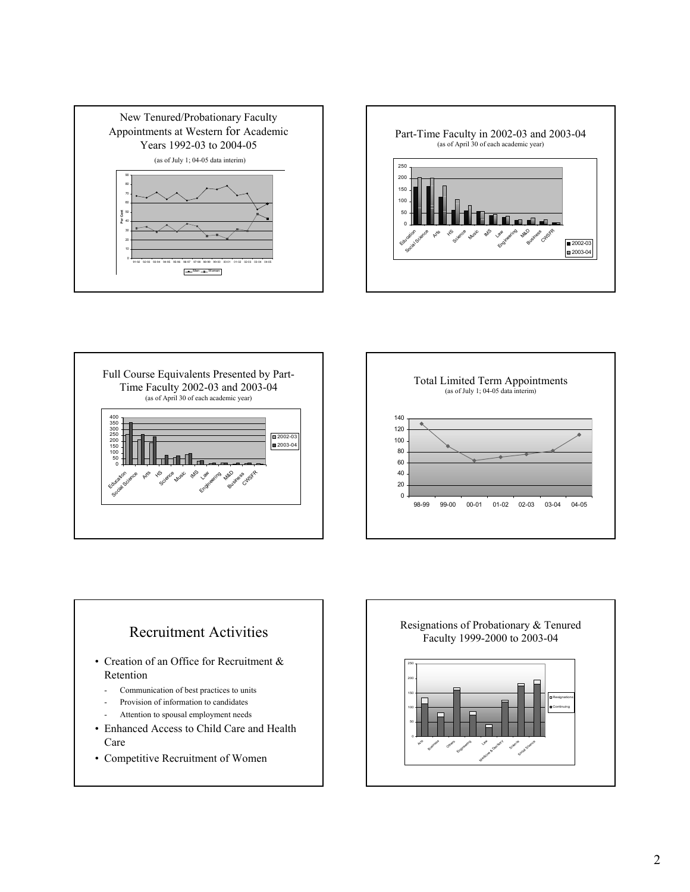







## Recruitment Activities

- Creation of an Office for Recruitment & Retention
	- Communication of best practices to units
	- Provision of information to candidates
	- Attention to spousal employment needs
- Enhanced Access to Child Care and Health Care
- Competitive Recruitment of Women

Resignations of Probationary & Tenured Faculty 1999-2000 to 2003-04